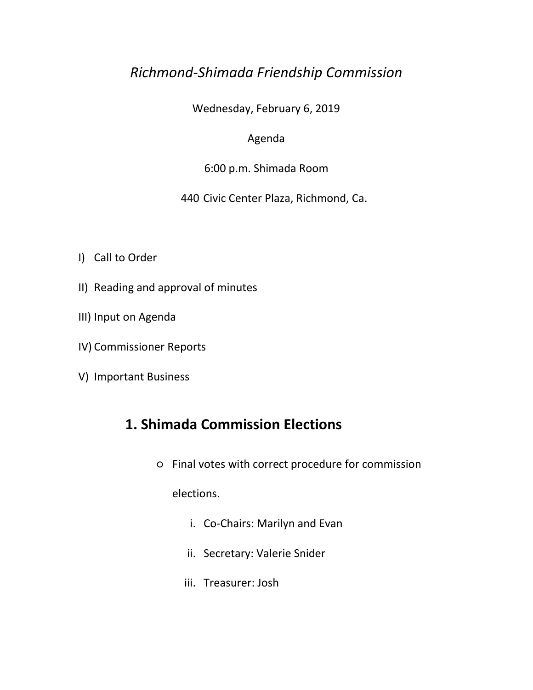## *Richmond-Shimada Friendship Commission*

Wednesday, February 6, 2019

#### Agenda

#### 6:00 p.m. Shimada Room

#### 440 Civic Center Plaza, Richmond, Ca.

- I) Call to Order
- II) Reading and approval of minutes
- III) Input on Agenda
- IV) Commissioner Reports
- V) Important Business

## **1. Shimada Commission Elections**

○ Final votes with correct procedure for commission

elections.

- i. Co-Chairs: Marilyn and Evan
- ii. Secretary: Valerie Snider
- iii. Treasurer: Josh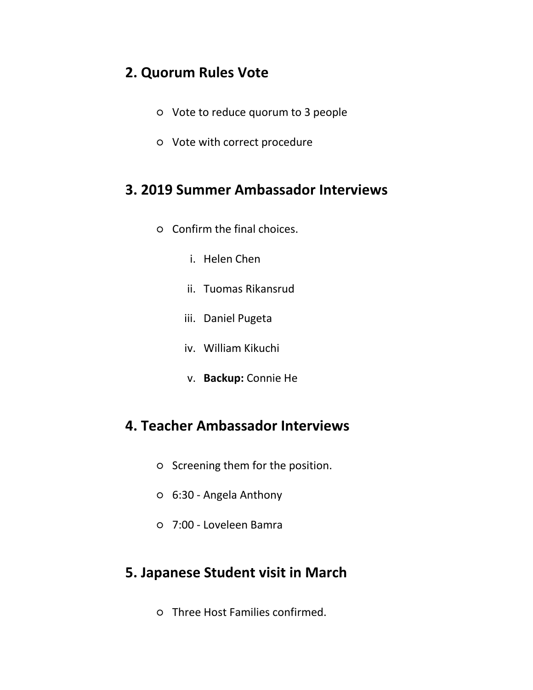#### **2. Quorum Rules Vote**

- Vote to reduce quorum to 3 people
- Vote with correct procedure

## **3. 2019 Summer Ambassador Interviews**

- Confirm the final choices.
	- i. Helen Chen
	- ii. Tuomas Rikansrud
	- iii. Daniel Pugeta
	- iv. William Kikuchi
	- v. **Backup:** Connie He

## **4. Teacher Ambassador Interviews**

- Screening them for the position.
- 6:30 Angela Anthony
- 7:00 Loveleen Bamra

## **5. Japanese Student visit in March**

○ Three Host Families confirmed.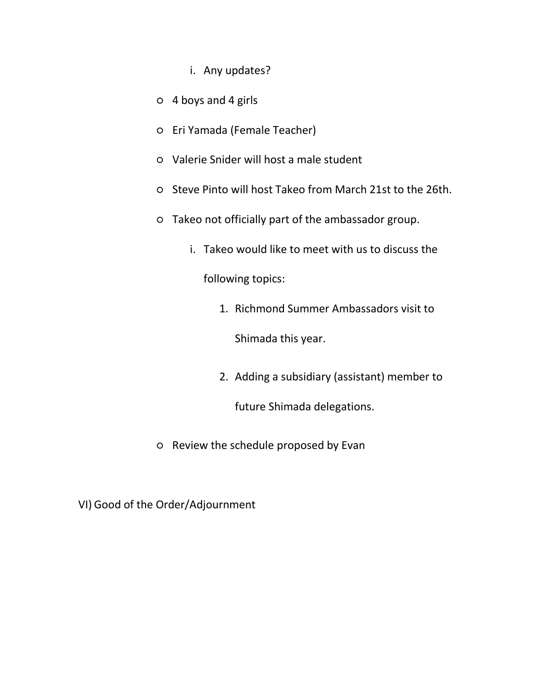- i. Any updates?
- 4 boys and 4 girls
- Eri Yamada (Female Teacher)
- Valerie Snider will host a male student
- Steve Pinto will host Takeo from March 21st to the 26th.
- Takeo not officially part of the ambassador group.
	- i. Takeo would like to meet with us to discuss the

following topics:

1. Richmond Summer Ambassadors visit to

Shimada this year.

2. Adding a subsidiary (assistant) member to

future Shimada delegations.

○ Review the schedule proposed by Evan

VI) Good of the Order/Adjournment